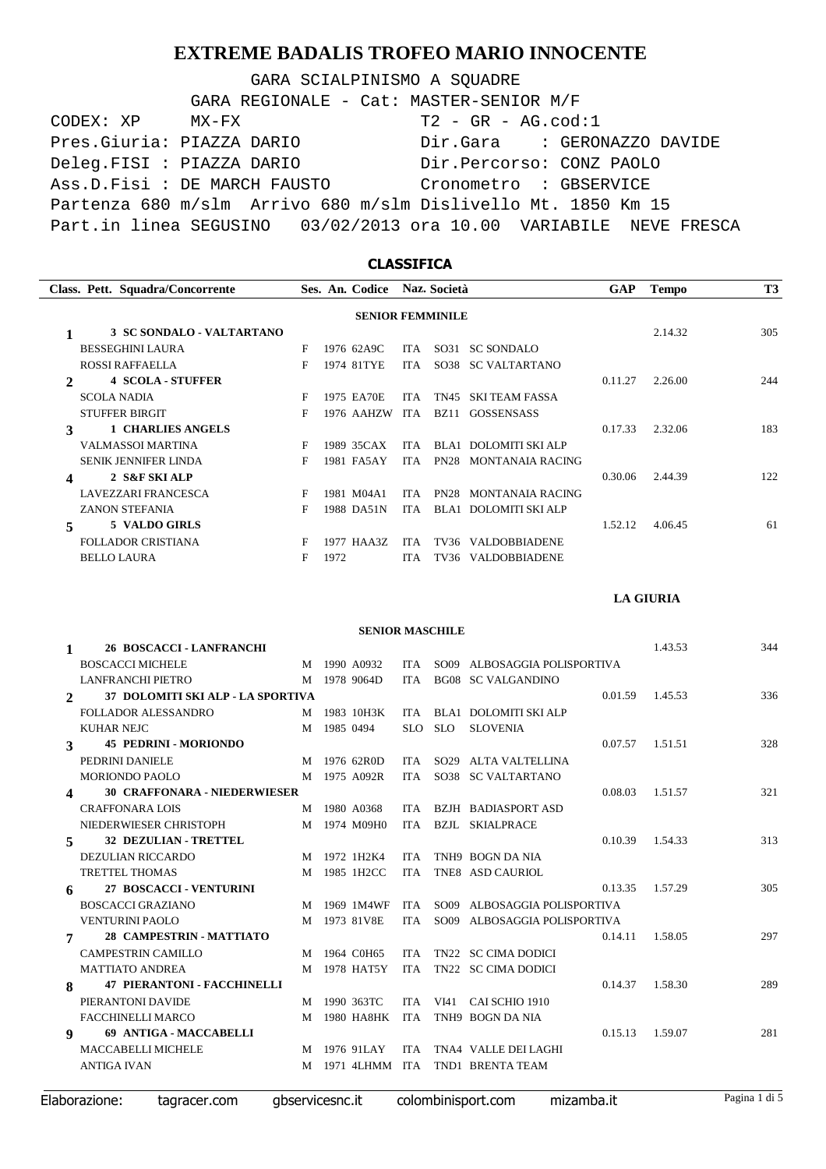GARA SCIALPINISMO A SQUADRE

| GARA REGIONALE - Cat: MASTER-SENIOR M/F                           |  |
|-------------------------------------------------------------------|--|
| $T2 - GR - AG.cod:1$<br>CODEX: XP MX-FX                           |  |
| Pres. Giuria: PIAZZA DARIO<br>Dir.Gara : GERONAZZO DAVIDE         |  |
| Deleg.FISI : PIAZZA DARIO<br>Dir.Percorso: CONZ PAOLO             |  |
| Ass.D.Fisi: DE MARCH FAUSTO<br>Cronometro : GBSERVICE             |  |
| Partenza 680 m/slm Arrivo 680 m/slm Dislivello Mt. 1850 Km 15     |  |
| Part.in linea SEGUSINO 03/02/2013 ora 10.00 VARIABILE NEVE FRESCA |  |

## **CLASSIFICA Class. Pett. Squadra/Concorrente Ses. An. Società Codice Naz. GAP Tempo T3 SENIOR FEMMINILE 1 3 SC SONDALO - VALTARTANO E** 1976 62A9C **TTA SO31 SC SONDALO 2.14.32** 305 F 1976 62A9C ITA SO31 SC SONDALO ROSSI RAFFAELLA F 1974 81TYE ITA SO38 SC VALTARTANO **2 4 SCOLA - STUFFER** 0.11.27 2.26.00 244 SCOLA NADIA F 1975 EA70E ITA TN45 SKI TEAM FASSA STUFFER BIRGIT F 1976 AAHZW ITA BZ11 GOSSENSASS **3 1 CHARLIES ANGELS b F 1989** 35CAX **ITA BLA1 DOLOMITI SKI ALP 0.17.33** 2.32.06 **183 1.83 1.83 1.83 1.83 1.83 1.83 1.83 1.83 1.83 1.83 1.83 1.83 1.83 1.83 1.83 1.83 1.83 1** F 1989 35CAX ITA BLA1 DOLOMITI SKI ALP SENIK JENNIFER LINDA F 1981 FA5AY ITA PN28 MONTANAIA RACING **4 2 S&F SKI ALP** 0.30.06 2.44.39 122 LAVEZZARI FRANCESCA F 1981 M04A1 MONTANAIA RACING ITA PN28 ZANON STEFANIA F 1988 DA51N ITA BLA1 DOLOMITI SKI ALP **5 5 VALDO GIRLS** 1.52.12 4.06.45 61 FOLLADOR CRISTIANA F 1977 HAA3Z ITA TV36 VALDOBBIADENE BELLO LAURA F 1972 VALDOBBIADENE ITA TV36

**LA GIURIA**

**SENIOR MASCHILE**

| <b>26 BOSCACCI - LANFRANCHI</b>             |              |  |                                                |                     | 1.43.53           | 344 |
|---------------------------------------------|--------------|--|------------------------------------------------|---------------------|-------------------|-----|
| <b>BOSCACCI MICHELE</b>                     | M 1990 A0932 |  | ITA SO09 ALBOSAGGIA POLISPORTIVA               |                     |                   |     |
| LANFRANCHI PIETRO M 1978 9064D              |              |  | ITA BG08 SC VALGANDINO                         |                     |                   |     |
| 2 37 DOLOMITI SKI ALP - LA SPORTIVA         |              |  |                                                |                     | 0.01.59 1.45.53   | 336 |
| FOLLADOR ALESSANDRO M 1983 10H3K            |              |  | ITA BLA1 DOLOMITI SKI ALP                      |                     |                   |     |
| <b>KUHAR NEJC</b>                           | M 1985 0494  |  | SLO SLO SLOVENIA                               |                     |                   |     |
| <b>45 PEDRINI - MORIONDO</b><br>$3^{\circ}$ |              |  |                                                | $0.07.57$ 1.51.51   |                   | 328 |
| PEDRINI DANIELE<br>M 1976 62R0D             |              |  | ITA SO29 ALTA VALTELLINA                       |                     |                   |     |
| M 1975 A092R<br>MORIONDO PAOLO              |              |  | ITA SO38 SC VALTARTANO                         |                     |                   |     |
| 4 30 CRAFFONARA - NIEDERWIESER              |              |  |                                                |                     | $0.08.03$ 1.51.57 | 321 |
| <b>CRAFFONARA LOIS</b><br>M 1980 A0368      |              |  | ITA BZJH BADIASPORTASD                         |                     |                   |     |
| NIEDERWIESER CHRISTOPH M 1974 M09H0         |              |  | ITA BZJL SKIALPRACE                            |                     |                   |     |
| 5 32 DEZULIAN - TRETTEL                     |              |  |                                                |                     | $0.10.39$ 1.54.33 | 313 |
| DEZULIAN RICCARDO                           | M 1972 1H2K4 |  | ITA TNH9 BOGN DA NIA                           |                     |                   |     |
| <b>TRETTEL THOMAS</b>                       | M 1985 1H2CC |  | ITA TNE8 ASD CAURIOL                           |                     |                   |     |
| 27 BOSCACCI - VENTURINI<br>6 —              |              |  |                                                | $0.13.35$ $1.57.29$ |                   | 305 |
| BOSCACCI GRAZIANO                           |              |  | M 1969 1M4WF ITA SO09 ALBOSAGGIA POLISPORTIVA  |                     |                   |     |
| VENTURINI PAOLO                             | M 1973 81V8E |  | ITA SO09 ALBOSAGGIA POLISPORTIVA               |                     |                   |     |
| 7 28 CAMPESTRIN - MATTIATO                  |              |  |                                                | $0.14.11$ $1.58.05$ |                   | 297 |
| CAMPESTRIN CAMILLO<br>M 1964 C0H65          |              |  | ITA TN22 SC CIMA DODICI                        |                     |                   |     |
| <b>MATTIATO ANDREA</b>                      | M 1978 HAT5Y |  | ITA TN22 SC CIMA DODICI                        |                     |                   |     |
| <b>47 PIERANTONI - FACCHINELLI</b><br>$8 -$ |              |  |                                                | 0.14.37             | 1.58.30           | 289 |
| PIERANTONI DAVIDE                           | M 1990 363TC |  | ITA VI41 CAI SCHIO 1910                        |                     |                   |     |
| FACCHINELLI MARCO                           |              |  | M 1980 HA8HK ITA TNH9 BOGN DA NIA              |                     |                   |     |
| 9 69 ANTIGA - MACCABELLI                    |              |  |                                                | 0.15.13             | 1.59.07           | 281 |
| MACCABELLI MICHELE                          |              |  | M 1976 91LAY     ITA    TNA4   VALLE DEI LAGHI |                     |                   |     |
| <b>ANTIGA IVAN</b>                          |              |  | M 1971 4LHMM ITA TND1 BRENTA TEAM              |                     |                   |     |
|                                             |              |  |                                                |                     |                   |     |

Elaborazione: tagracer.com gbservicesnc.it colombinisport.com mizamba.it Pagina 1 di 5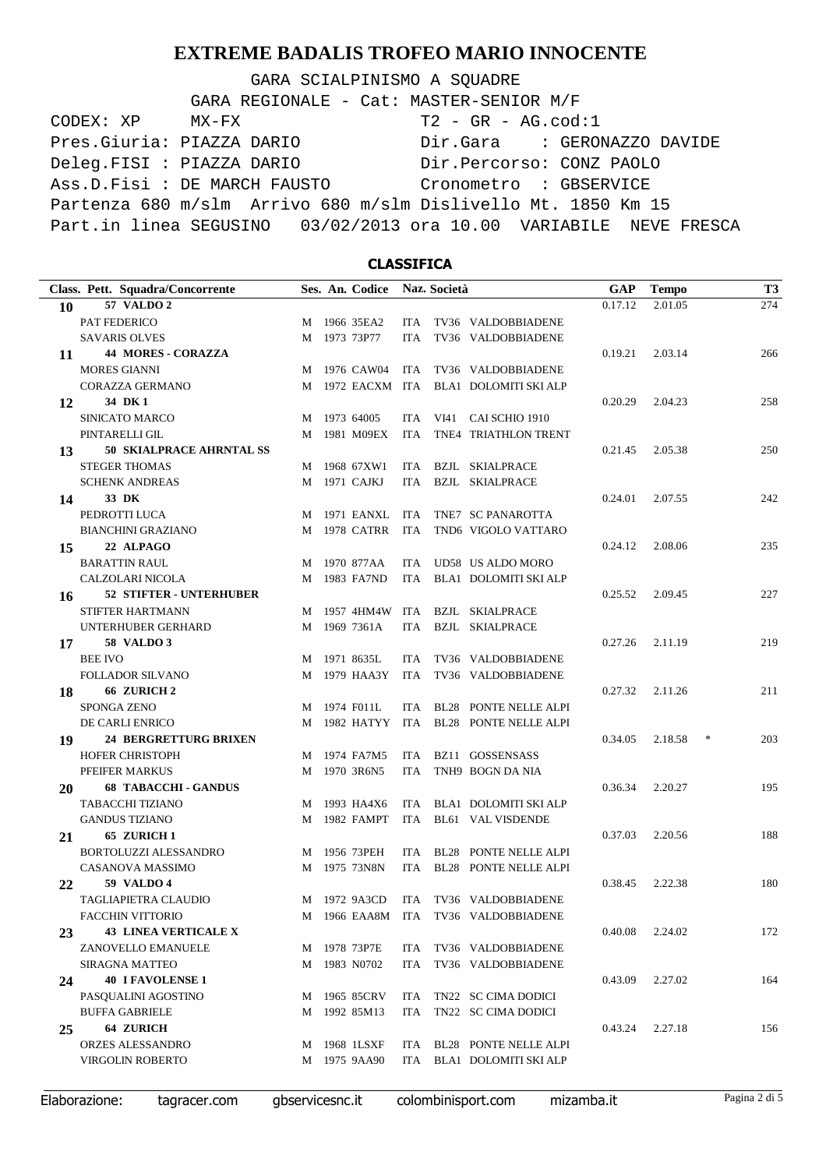GARA SCIALPINISMO A SQUADRE

| GARA REGIONALE - Cat: MASTER-SENIOR M/F                           |  |
|-------------------------------------------------------------------|--|
| $T2 - GR - AG.cod:1$<br>CODEX: XP MX-FX                           |  |
| Pres. Giuria: PIAZZA DARIO<br>Dir.Gara : GERONAZZO DAVIDE         |  |
| Deleg.FISI : PIAZZA DARIO<br>Dir.Percorso: CONZ PAOLO             |  |
| Ass.D.Fisi: DE MARCH FAUSTO<br>Cronometro : GBSERVICE             |  |
| Partenza 680 m/slm Arrivo 680 m/slm Dislivello Mt. 1850 Km 15     |  |
| Part.in linea SEGUSINO 03/02/2013 ora 10.00 VARIABILE NEVE FRESCA |  |

## **CLASSIFICA**

|    | Class. Pett. Squadra/Concorrente |   | Ses. An. Codice Naz. Società |            |                                        | GAP     | <b>Tempo</b> | <b>T3</b>     |
|----|----------------------------------|---|------------------------------|------------|----------------------------------------|---------|--------------|---------------|
| 10 | <b>57 VALDO 2</b>                |   |                              |            |                                        | 0.17.12 | 2.01.05      | 274           |
|    | PAT FEDERICO                     | M | 1966 35EA2                   |            | ITA TV36 VALDOBBIADENE                 |         |              |               |
|    | <b>SAVARIS OLVES</b>             | M | 1973 73P77                   | <b>ITA</b> | TV36 VALDOBBIADENE                     |         |              |               |
| 11 | <b>44 MORES - CORAZZA</b>        |   |                              |            |                                        | 0.19.21 | 2.03.14      | 266           |
|    | <b>MORES GIANNI</b>              |   | M 1976 CAW04                 | ITA        | TV36 VALDOBBIADENE                     |         |              |               |
|    | <b>CORAZZA GERMANO</b>           |   | M 1972 EACXM ITA             |            | <b>BLA1 DOLOMITI SKI ALP</b>           |         |              |               |
| 12 | 34 DK 1                          |   |                              |            |                                        | 0.20.29 | 2.04.23      | 258           |
|    | <b>SINICATO MARCO</b>            |   | M 1973 64005                 |            | ITA VI41 CAI SCHIO 1910                |         |              |               |
|    | PINTARELLI GIL                   |   | M 1981 M09EX                 | ITA        | TNE4 TRIATHLON TRENT                   |         |              |               |
| 13 | <b>50 SKIALPRACE AHRNTAL SS</b>  |   |                              |            |                                        | 0.21.45 | 2.05.38      | 250           |
|    | <b>STEGER THOMAS</b>             |   | M 1968 67XW1                 |            | ITA BZJL SKIALPRACE                    |         |              |               |
|    | <b>SCHENK ANDREAS</b>            |   | M 1971 CAJKJ                 |            | ITA BZJL SKIALPRACE                    |         |              |               |
| 14 | 33 DK                            |   |                              |            |                                        | 0.24.01 | 2.07.55      | 242           |
|    | PEDROTTI LUCA                    |   | M 1971 EANXL                 | ITA        | TNE7 SC PANAROTTA                      |         |              |               |
|    | <b>BIANCHINI GRAZIANO</b>        |   | M 1978 CATRR                 | ITA        | TND6 VIGOLO VATTARO                    |         |              |               |
| 15 | 22 ALPAGO                        |   |                              |            |                                        | 0.24.12 | 2.08.06      | 235           |
|    | <b>BARATTIN RAUL</b>             | M | 1970 877AA                   | ITA        | UD58 US ALDO MORO                      |         |              |               |
|    | CALZOLARI NICOLA                 |   | M 1983 FA7ND                 |            | ITA BLA1 DOLOMITI SKI ALP              |         |              |               |
| 16 | 52 STIFTER - UNTERHUBER          |   |                              |            |                                        | 0.25.52 | 2.09.45      | 227           |
|    | STIFTER HARTMANN                 |   | M 1957 4HM4W ITA             |            | BZJL SKIALPRACE                        |         |              |               |
|    | UNTERHUBER GERHARD               | M | 1969 7361A                   | ITA        | <b>BZJL SKIALPRACE</b>                 |         |              |               |
| 17 | <b>58 VALDO 3</b>                |   |                              |            |                                        | 0.27.26 | 2.11.19      | 219           |
|    | <b>BEE IVO</b>                   |   | M 1971 8635L                 | ITA.       | TV36 VALDOBBIADENE                     |         |              |               |
|    | FOLLADOR SILVANO                 |   | M 1979 HAA3Y                 | ITA        | TV36 VALDOBBIADENE                     |         |              |               |
| 18 | 66 ZURICH <sub>2</sub>           |   |                              |            |                                        | 0.27.32 | 2.11.26      | 211           |
|    | <b>SPONGA ZENO</b>               |   | M 1974 F011L                 |            | ITA BL28 PONTE NELLE ALPI              |         |              |               |
|    | DE CARLI ENRICO                  |   |                              |            | M 1982 HATYY ITA BL28 PONTE NELLE ALPI |         |              |               |
| 19 | <b>24 BERGRETTURG BRIXEN</b>     |   |                              |            |                                        | 0.34.05 | 2.18.58      | $\ast$<br>203 |
|    | <b>HOFER CHRISTOPH</b>           | M | 1974 FA7M5                   | ITA        | BZ11 GOSSENSASS                        |         |              |               |
|    | PFEIFER MARKUS                   | M | 1970 3R6N5                   | <b>ITA</b> | TNH9 BOGN DA NIA                       |         |              |               |
| 20 | <b>68 TABACCHI - GANDUS</b>      |   |                              |            |                                        | 0.36.34 | 2.20.27      | 195           |
|    | TABACCHI TIZIANO                 |   | M 1993 HA4X6                 | ITA        | <b>BLA1 DOLOMITI SKI ALP</b>           |         |              |               |
|    | <b>GANDUS TIZIANO</b>            | M | 1982 FAMPT                   | ITA        | <b>BL61 VAL VISDENDE</b>               |         |              |               |
| 21 | 65 ZURICH 1                      |   |                              |            |                                        | 0.37.03 | 2.20.56      | 188           |
|    | BORTOLUZZI ALESSANDRO            |   | M 1956 73PEH                 | ITA        | <b>BL28 PONTE NELLE ALPI</b>           |         |              |               |
|    | CASANOVA MASSIMO                 |   | M 1975 73N8N                 | ITA        | <b>BL28 PONTE NELLE ALPI</b>           |         |              |               |
| 22 | <b>59 VALDO 4</b>                |   |                              |            |                                        | 0.38.45 | 2.22.38      | 180           |
|    | TAGLIAPIETRA CLAUDIO             | M | 1972 9A3CD                   | ITA        | TV36 VALDOBBIADENE                     |         |              |               |
|    | <b>FACCHIN VITTORIO</b>          |   |                              |            | M 1966 EAA8M ITA TV36 VALDOBBIADENE    |         |              |               |
| 23 | <b>43 LINEA VERTICALE X</b>      |   |                              |            |                                        | 0.40.08 | 2.24.02      | 172           |
|    | ZANOVELLO EMANUELE               |   | M 1978 73P7E                 | ITA        | TV36 VALDOBBIADENE                     |         |              |               |
|    | <b>SIRAGNA MATTEO</b>            | M | 1983 N0702                   | ITA        | TV36 VALDOBBIADENE                     |         |              |               |
| 24 | <b>40 I FAVOLENSE 1</b>          |   |                              |            |                                        | 0.43.09 | 2.27.02      | 164           |
|    | PASOUALINI AGOSTINO              | M | 1965 85CRV                   | ITA        | TN22 SC CIMA DODICI                    |         |              |               |
|    | <b>BUFFA GABRIELE</b>            | M | 1992 85M13                   | ITA        | TN22 SC CIMA DODICI                    |         |              |               |
| 25 | 64 ZURICH                        |   |                              |            |                                        | 0.43.24 | 2.27.18      | 156           |
|    | <b>ORZES ALESSANDRO</b>          |   | M 1968 1LSXF                 | ITA        | <b>BL28 PONTE NELLE ALPI</b>           |         |              |               |
|    | <b>VIRGOLIN ROBERTO</b>          |   | M 1975 9AA90                 |            | ITA BLA1 DOLOMITI SKI ALP              |         |              |               |
|    |                                  |   |                              |            |                                        |         |              |               |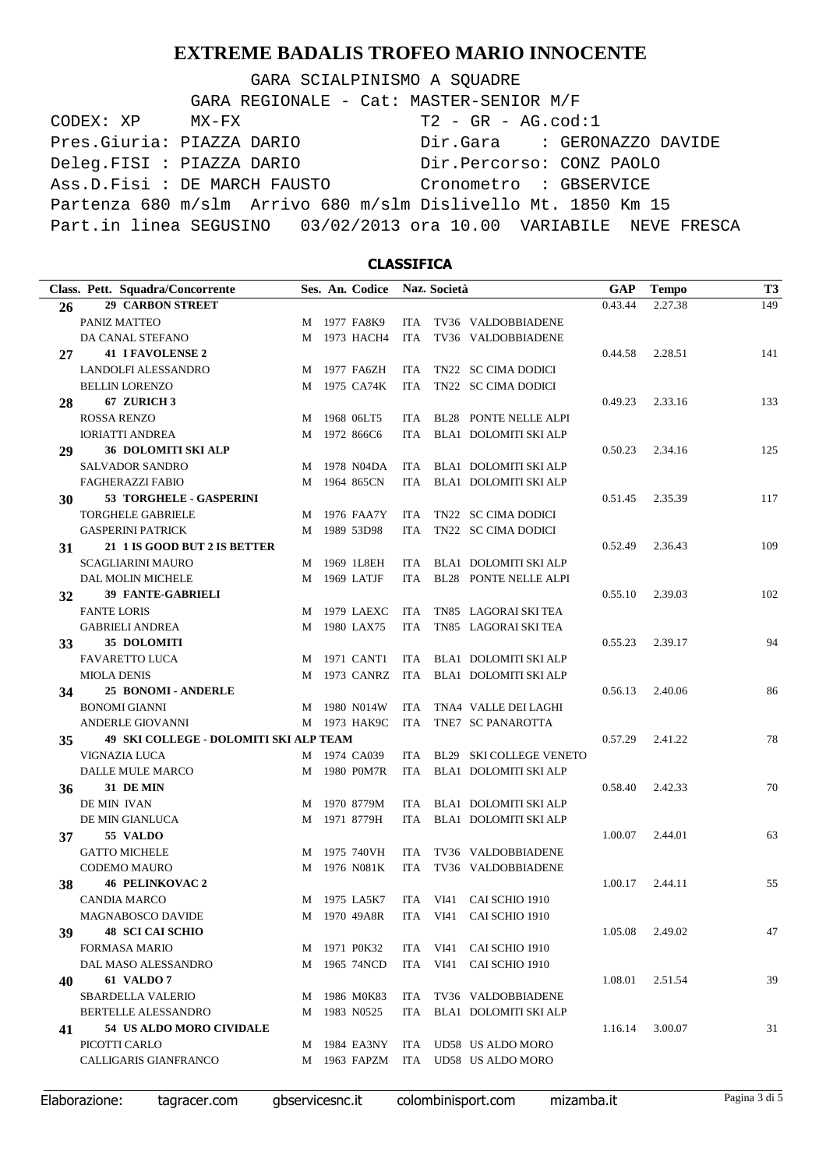GARA SCIALPINISMO A SQUADRE

| GARA REGIONALE - Cat: MASTER-SENIOR M/F                           |  |
|-------------------------------------------------------------------|--|
| $T2 - GR - AG.cod:1$<br>CODEX: XP MX-FX                           |  |
| Pres. Giuria: PIAZZA DARIO<br>Dir.Gara : GERONAZZO DAVIDE         |  |
| Deleg.FISI : PIAZZA DARIO<br>Dir.Percorso: CONZ PAOLO             |  |
| Ass.D.Fisi: DE MARCH FAUSTO<br>Cronometro : GBSERVICE             |  |
| Partenza 680 m/slm Arrivo 680 m/slm Dislivello Mt. 1850 Km 15     |  |
| Part.in linea SEGUSINO 03/02/2013 ora 10.00 VARIABILE NEVE FRESCA |  |

## **CLASSIFICA**

|    | Class. Pett. Squadra/Concorrente              |   | Ses. An. Codice |            | Naz. Società |                                      | <b>GAP</b> | <b>Tempo</b>    | T <sub>3</sub> |
|----|-----------------------------------------------|---|-----------------|------------|--------------|--------------------------------------|------------|-----------------|----------------|
| 26 | <b>29 CARBON STREET</b>                       |   |                 |            |              |                                      | 0.43.44    | 2.27.38         | 149            |
|    | PANIZ MATTEO                                  |   | M 1977 FA8K9    | ITA.       |              | TV36 VALDOBBIADENE                   |            |                 |                |
|    | DA CANAL STEFANO                              |   | M 1973 HACH4    | <b>ITA</b> |              | TV36 VALDOBBIADENE                   |            |                 |                |
| 27 | <b>41 I FAVOLENSE 2</b>                       |   |                 |            |              |                                      | 0.44.58    | 2.28.51         | 141            |
|    | LANDOLFI ALESSANDRO                           |   | M 1977 FA6ZH    | ITA        |              | TN22 SC CIMA DODICI                  |            |                 |                |
|    | <b>BELLIN LORENZO</b>                         |   | M 1975 CA74K    | ITA        |              | TN22 SC CIMA DODICI                  |            |                 |                |
| 28 | 67 ZURICH 3                                   |   |                 |            |              |                                      | 0.49.23    | 2.33.16         | 133            |
|    | <b>ROSSA RENZO</b>                            | M | 1968 06LT5      | ITA        |              | <b>BL28 PONTE NELLE ALPI</b>         |            |                 |                |
|    | <b>IORIATTI ANDREA</b>                        | M | 1972 866C6      | <b>ITA</b> |              | BLA1 DOLOMITI SKI ALP                |            |                 |                |
| 29 | <b>36 DOLOMITI SKI ALP</b>                    |   |                 |            |              |                                      | 0.50.23    | 2.34.16         | 125            |
|    | <b>SALVADOR SANDRO</b>                        |   | M 1978 N04DA    | ITA        |              | <b>BLA1 DOLOMITI SKI ALP</b>         |            |                 |                |
|    | FAGHERAZZI FABIO                              |   | M 1964 865CN    | ITA        |              | <b>BLA1 DOLOMITI SKI ALP</b>         |            |                 |                |
| 30 | 53 TORGHELE - GASPERINI                       |   |                 |            |              |                                      | 0.51.45    | 2.35.39         | 117            |
|    | <b>TORGHELE GABRIELE</b>                      |   | M 1976 FAA7Y    | ITA        |              | TN22 SC CIMA DODICI                  |            |                 |                |
|    | <b>GASPERINI PATRICK</b>                      | М | 1989 53D98      | <b>ITA</b> |              | TN22 SC CIMA DODICI                  |            |                 |                |
| 31 | 21 1 IS GOOD BUT 2 IS BETTER                  |   |                 |            |              |                                      | 0.52.49    | 2.36.43         | 109            |
|    | <b>SCAGLIARINI MAURO</b>                      | M | 1969 1L8EH      | <b>ITA</b> |              | BLA1 DOLOMITI SKI ALP                |            |                 |                |
|    | DAL MOLIN MICHELE                             | М | 1969 LATJF      | ITA        |              | <b>BL28 PONTE NELLE ALPI</b>         |            |                 |                |
| 32 | <b>39 FANTE-GABRIELI</b>                      |   |                 |            |              |                                      | 0.55.10    | 2.39.03         | 102            |
|    | <b>FANTE LORIS</b>                            |   | M 1979 LAEXC    | ITA        |              | TN85 LAGORAI SKI TEA                 |            |                 |                |
|    | <b>GABRIELI ANDREA</b>                        |   | M 1980 LAX75    | <b>ITA</b> |              | TN85 LAGORAI SKI TEA                 |            |                 |                |
| 33 | 35 DOLOMITI                                   |   |                 |            |              |                                      | 0.55.23    | 2.39.17         | 94             |
|    | <b>FAVARETTO LUCA</b>                         | M | 1971 CANT1      | ITA        |              | <b>BLA1 DOLOMITI SKI ALP</b>         |            |                 |                |
|    | <b>MIOLA DENIS</b>                            |   | M 1973 CANRZ    | ITA        |              | BLA1 DOLOMITI SKI ALP                |            |                 |                |
| 34 | <b>25 BONOMI - ANDERLE</b>                    |   |                 |            |              |                                      | 0.56.13    | 2.40.06         | 86             |
|    | <b>BONOMI GIANNI</b>                          |   | M 1980 N014W    | <b>ITA</b> |              | TNA4 VALLE DEI LAGHI                 |            |                 |                |
|    | ANDERLE GIOVANNI                              |   | M 1973 HAK9C    | ITA        |              | TNE7 SC PANAROTTA                    |            |                 |                |
| 35 | <b>49 SKI COLLEGE - DOLOMITI SKI ALP TEAM</b> |   |                 |            |              |                                      | 0.57.29    | 2.41.22         | 78             |
|    | VIGNAZIA LUCA                                 |   | M 1974 CA039    | ITA        |              | BL29 SKI COLLEGE VENETO              |            |                 |                |
|    | DALLE MULE MARCO                              | M | 1980 POM7R      | ITA        |              | BLA1 DOLOMITI SKI ALP                |            |                 |                |
| 36 | 31 DE MIN                                     |   |                 |            |              |                                      | 0.58.40    | 2.42.33         | 70             |
|    | DE MIN IVAN                                   | M | 1970 8779M      | ITA        |              | BLA1 DOLOMITI SKI ALP                |            |                 |                |
|    | DE MIN GIANLUCA                               |   | M 1971 8779H    |            |              | ITA BLA1 DOLOMITI SKI ALP            |            |                 |                |
| 37 | 55 VALDO                                      |   |                 |            |              |                                      | 1.00.07    | 2.44.01         | 63             |
|    | <b>GATTO MICHELE</b>                          |   | M 1975 740VH    | ITA        |              | TV36 VALDOBBIADENE                   |            |                 |                |
|    | <b>CODEMO MAURO</b>                           |   | M 1976 N081K    | ITA        |              | TV36 VALDOBBIADENE                   |            |                 |                |
| 38 | <b>46 PELINKOVAC 2</b>                        |   |                 |            |              |                                      | 1.00.17    | 2.44.11         | 55             |
|    | CANDIA MARCO                                  |   |                 |            |              | M 1975 LA5K7 ITA VI41 CAI SCHIO 1910 |            |                 |                |
|    | <b>MAGNABOSCO DAVIDE</b>                      |   | M 1970 49A8R    |            |              | ITA VI41 CAI SCHIO 1910              |            |                 |                |
| 39 | <b>48 SCI CAI SCHIO</b>                       |   |                 |            |              |                                      |            | 1.05.08 2.49.02 | 47             |
|    | <b>FORMASA MARIO</b>                          |   | M 1971 P0K32    |            |              | ITA VI41 CAI SCHIO 1910              |            |                 |                |
|    | DAL MASO ALESSANDRO                           |   | M 1965 74NCD    |            |              | ITA VI41 CAI SCHIO 1910              |            |                 |                |
| 40 | <b>61 VALDO 7</b>                             |   |                 |            |              |                                      | 1.08.01    | 2.51.54         | 39             |
|    | <b>SBARDELLA VALERIO</b>                      |   | M 1986 M0K83    |            |              | ITA TV36 VALDOBBIADENE               |            |                 |                |
|    | BERTELLE ALESSANDRO                           |   | M 1983 N0525    |            |              | ITA BLA1 DOLOMITI SKI ALP            |            |                 |                |
| 41 | 54 US ALDO MORO CIVIDALE                      |   |                 |            |              |                                      | 1.16.14    | 3.00.07         | 31             |
|    | PICOTTI CARLO                                 |   |                 |            |              | M 1984 EA3NY ITA UD58 US ALDO MORO   |            |                 |                |
|    | CALLIGARIS GIANFRANCO                         |   |                 |            |              | M 1963 FAPZM ITA UD58 US ALDO MORO   |            |                 |                |
|    |                                               |   |                 |            |              |                                      |            |                 |                |

Elaborazione: tagracer.com gbservicesnc.it colombinisport.com mizamba.it Pagina 3 di 5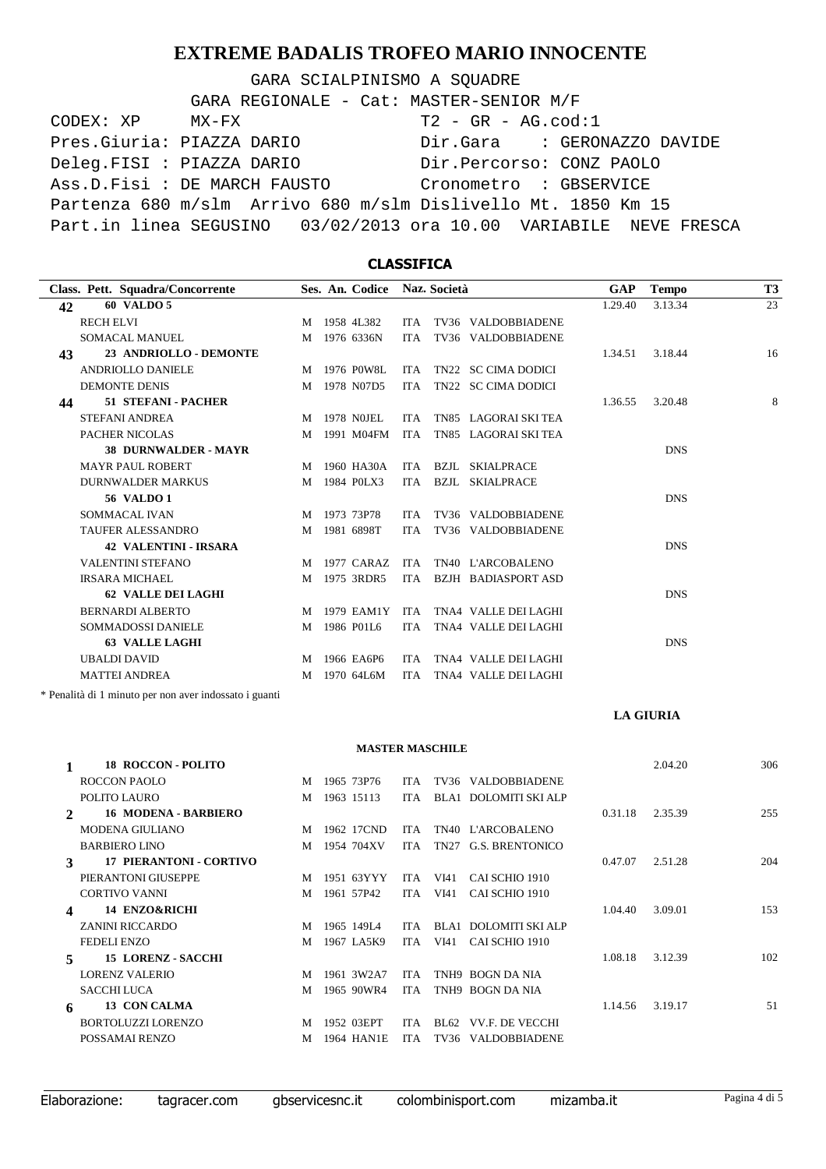GARA SCIALPINISMO A SOUADRE CODEX: XP MX-FX T2 - GR - AG.cod:1 Pres.Giuria: PIAZZA DARIO Dir.Gara : GERONAZZO DAVIDE Deleg.FISI : PIAZZA DARIO Dir.Percorso: CONZ PAOLO Ass.D.Fisi : DE MARCH FAUSTO Cronometro : GBSERVICE Partenza 680 m/slm Arrivo 680 m/slm Dislivello Mt. 1850 Km 15 Part.in linea SEGUSINO 03/02/2013 ora 10.00 VARIABILE NEVE FRESCA GARA REGIONALE - Cat: MASTER-SENIOR M/F

### **CLASSIFICA Class. Pett. Squadra/Concorrente Ses. An. Società Codice Naz. GAP Tempo T3 42 60 VALDO 5** 1.29.40 3.13.34 23 RECH ELVI M 1958 4L382 ITA TV36 VALDOBBIADENE SOMACAL MANUEL M 1976 6336N ITA TV36 VALDOBBIADENE **43 23 ANDRIOLLO - DEMONTE** 1.34.51 **1.34.51 1.34.51 1.34.51 1.34.51 1.54.44 1.6** ANDRIOLLO DANIELE M 1976 POW8L ITA TN22 SC CIMA DODICI DEMONTE DENIS M 1978 N07D5 ITA TN22 SC CIMA DODICI **44 51 STEFANI - PACHER 1.36.55 8.20.48** 8 **STEFANI ANDREA 1978 NOIEL ITA TN85 LAGORAL SKLTEA 1.36.55 3.20.48** 8 M 1978 NOJEL ITA TN85 LAGORAI SKI TEA PACHER NICOLAS M 1991 M04FM ITA TN85 LAGORAI SKI TEA **38 DURNWALDER - MAYR** DNS MAYR PAUL ROBERT M 1960 HA30A ITA BZJL SKIALPRACE DURNWALDER MARKUS M 1984 POLX3 ITA BZJL SKIALPRACE **56 VALDO 1** DNS SOMMACAL IVAN M 1973 73P78 ITA TV36 VALDOBBIADENE TAUFER ALESSANDRO M 1981 6898T ITA TV36 VALDOBBIADENE **42 VALENTINI - IRSARA** DNS VALENTINI STEFANO METALLICARE METALLICARE EN INTERNACIONALENO METALLICARE EN INTERNACIONALENO IN ESTATE EN EN IRSARA MICHAEL M 1975 3RDR5 ITA BZJH BADIASPORT ASD **62 VALLE DEI LAGHI** DNS BERNARDI ALBERTO M 1979 EAM1Y VALLE DEI LAGHI ITA TNA4 SOMMADOSSI DANIELE M 1986 P01L6 ITA TNA4 VALLE DEI LAGHI **63 VALLE LAGHI** DNS UBALDI DAVID M 1966 EA6P6 VALLE DEI LAGHI ITA TNA4 MATTEI ANDREA M 1970 64L6M ITA TNA4 VALLE DEI LAGHI

\* Penalità di 1 minuto per non aver indossato i guanti

#### **LA GIURIA**

#### **MASTER MASCHILE**

| $\mathbf{1}$             | 18 ROCCON - POLITO             |   |              |     |                           |         | 2.04.20 | 306 |
|--------------------------|--------------------------------|---|--------------|-----|---------------------------|---------|---------|-----|
|                          | ROCCON PAOLO                   | M | 1965 73P76   | ITA | TV36 VALDOBBIADENE        |         |         |     |
|                          | POLITO LAURO                   | M | 1963 15113   | ITA | BLA1 DOLOMITI SKI ALP     |         |         |     |
| $\mathcal{L}$            | <b>16 MODENA - BARBIERO</b>    |   |              |     |                           | 0.31.18 | 2.35.39 | 255 |
|                          | MODENA GIULIANO                |   | M 1962 17CND | ITA | TN40 L'ARCOBALENO         |         |         |     |
|                          | <b>BARBIERO LINO</b>           |   | M 1954 704XV |     | ITA TN27 G.S. BRENTONICO  |         |         |     |
| $\mathbf{3}$             | <b>17 PIERANTONI - CORTIVO</b> |   |              |     |                           | 0.47.07 | 2.51.28 | 204 |
|                          | PIERANTONI GIUSEPPE            | M | 1951 63YYY   | ITA | VI41 CAI SCHIO 1910       |         |         |     |
|                          | <b>CORTIVO VANNI</b>           | M | 1961 57P42   | ITA | VI41 CAI SCHIO 1910       |         |         |     |
| $\boldsymbol{\Lambda}$   | 14 ENZO&RICHI                  |   |              |     |                           | 1.04.40 | 3.09.01 | 153 |
|                          | <b>ZANINI RICCARDO</b>         | M | 1965 149L4   |     | ITA BLA1 DOLOMITI SKI ALP |         |         |     |
|                          | <b>FEDELI ENZO</b>             | M | 1967 LA5K9   |     | ITA VI41 CAI SCHIO 1910   |         |         |     |
| $\overline{\phantom{a}}$ | <b>15 LORENZ - SACCHI</b>      |   |              |     |                           | 1.08.18 | 3.12.39 | 102 |
|                          | <b>LORENZ VALERIO</b>          | M | 1961 3W2A7   | ITA | TNH9 BOGN DA NIA          |         |         |     |
|                          | <b>SACCHI LUCA</b>             |   | M 1965 90WR4 | ITA | TNH9 BOGN DA NIA          |         |         |     |
| 6                        | 13 CON CALMA                   |   |              |     |                           | 1.14.56 | 3.19.17 | 51  |
|                          | BORTOLUZZI LORENZO             | M | 1952 03EPT   | ITA | BL62 VV.F. DE VECCHI      |         |         |     |
|                          | POSSAMAI RENZO                 | M | 1964 HAN1E   | ITA | TV36 VALDOBBIADENE        |         |         |     |
|                          |                                |   |              |     |                           |         |         |     |